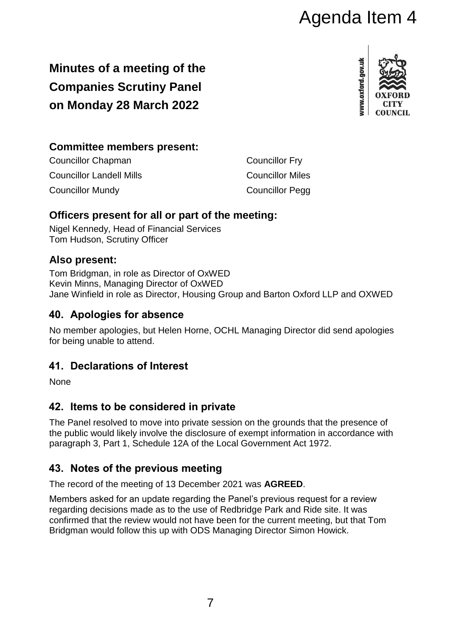# Agenda Item 4

# **Minutes of a meeting of the Companies Scrutiny Panel on Monday 28 March 2022**



### **Committee members present:**

| <b>Councillor Chapman</b>       | <b>Councillor Fry</b>   |
|---------------------------------|-------------------------|
| <b>Councillor Landell Mills</b> | <b>Councillor Miles</b> |
| <b>Councillor Mundy</b>         | <b>Councillor Pegg</b>  |

#### **Officers present for all or part of the meeting:**

Nigel Kennedy, Head of Financial Services Tom Hudson, Scrutiny Officer

#### **Also present:**

Tom Bridgman, in role as Director of OxWED Kevin Minns, Managing Director of OxWED Jane Winfield in role as Director, Housing Group and Barton Oxford LLP and OXWED

# **40. Apologies for absence**

No member apologies, but Helen Horne, OCHL Managing Director did send apologies for being unable to attend.

# **41. Declarations of Interest**

None

# **42. Items to be considered in private**

The Panel resolved to move into private session on the grounds that the presence of the public would likely involve the disclosure of exempt information in accordance with paragraph 3, Part 1, Schedule 12A of the Local Government Act 1972.

# **43. Notes of the previous meeting**

The record of the meeting of 13 December 2021 was **AGREED**.

Members asked for an update regarding the Panel's previous request for a review regarding decisions made as to the use of Redbridge Park and Ride site. It was confirmed that the review would not have been for the current meeting, but that Tom Bridgman would follow this up with ODS Managing Director Simon Howick.